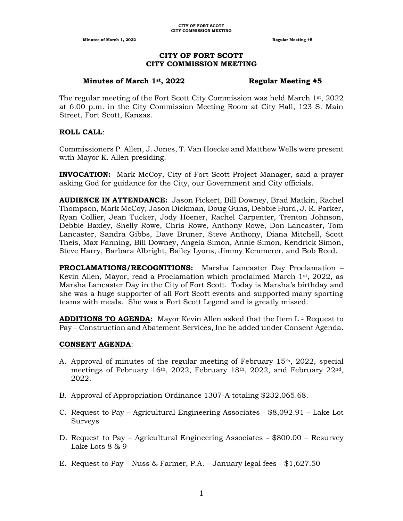# **CITY OF FORT SCOTT CITY COMMISSION MEETING**

#### **Minutes of March 1st, 2022 Regular Meeting #5**

The regular meeting of the Fort Scott City Commission was held March  $1<sup>st</sup>$ , 2022 at 6:00 p.m. in the City Commission Meeting Room at City Hall, 123 S. Main Street, Fort Scott, Kansas.

#### **ROLL CALL**:

Commissioners P. Allen, J. Jones, T. Van Hoecke and Matthew Wells were present with Mayor K. Allen presiding.

**INVOCATION:** Mark McCoy, City of Fort Scott Project Manager, said a prayer asking God for guidance for the City, our Government and City officials.

**AUDIENCE IN ATTENDANCE:** Jason Pickert, Bill Downey, Brad Matkin, Rachel Thompson, Mark McCoy, Jason Dickman, Doug Guns, Debbie Hurd, J. R. Parker, Ryan Collier, Jean Tucker, Jody Hoener, Rachel Carpenter, Trenton Johnson, Debbie Baxley, Shelly Rowe, Chris Rowe, Anthony Rowe, Don Lancaster, Tom Lancaster, Sandra Gibbs, Dave Bruner, Steve Anthony, Diana Mitchell, Scott Theis, Max Fanning, Bill Downey, Angela Simon, Annie Simon, Kendrick Simon, Steve Harry, Barbara Albright, Bailey Lyons, Jimmy Kemmerer, and Bob Reed.

**PROCLAMATIONS/RECOGNITIONS:** Marsha Lancaster Day Proclamation – Kevin Allen, Mayor, read a Proclamation which proclaimed March  $1<sup>st</sup>$ , 2022, as Marsha Lancaster Day in the City of Fort Scott. Today is Marsha's birthday and she was a huge supporter of all Fort Scott events and supported many sporting teams with meals. She was a Fort Scott Legend and is greatly missed.

**ADDITIONS TO AGENDA:** Mayor Kevin Allen asked that the Item L - Request to Pay – Construction and Abatement Services, Inc be added under Consent Agenda.

#### **CONSENT AGENDA**:

- A. Approval of minutes of the regular meeting of February 15th, 2022, special meetings of February 16<sup>th</sup>, 2022, February 18<sup>th</sup>, 2022, and February 22<sup>nd</sup>, 2022.
- B. Approval of Appropriation Ordinance 1307-A totaling \$232,065.68.
- C. Request to Pay Agricultural Engineering Associates \$8,092.91 Lake Lot Surveys
- D. Request to Pay Agricultural Engineering Associates \$800.00 Resurvey Lake Lots 8 & 9
- E. Request to Pay Nuss & Farmer, P.A. January legal fees \$1,627.50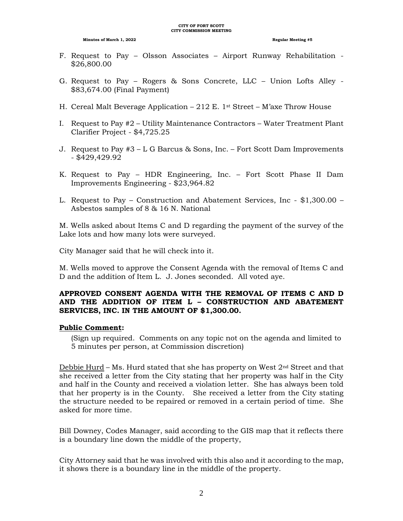- F. Request to Pay Olsson Associates Airport Runway Rehabilitation \$26,800.00
- G. Request to Pay Rogers & Sons Concrete, LLC Union Lofts Alley \$83,674.00 (Final Payment)
- H. Cereal Malt Beverage Application 212 E. 1<sup>st</sup> Street M'axe Throw House
- I. Request to Pay #2 Utility Maintenance Contractors Water Treatment Plant Clarifier Project - \$4,725.25
- J. Request to Pay #3 L G Barcus & Sons, Inc. Fort Scott Dam Improvements - \$429,429.92
- K. Request to Pay HDR Engineering, Inc. Fort Scott Phase II Dam Improvements Engineering - \$23,964.82
- L. Request to Pay Construction and Abatement Services, Inc \$1,300.00 Asbestos samples of 8 & 16 N. National

M. Wells asked about Items C and D regarding the payment of the survey of the Lake lots and how many lots were surveyed.

City Manager said that he will check into it.

M. Wells moved to approve the Consent Agenda with the removal of Items C and D and the addition of Item L. J. Jones seconded. All voted aye.

# **APPROVED CONSENT AGENDA WITH THE REMOVAL OF ITEMS C AND D AND THE ADDITION OF ITEM L – CONSTRUCTION AND ABATEMENT SERVICES, INC. IN THE AMOUNT OF \$1,300.00.**

#### **Public Comment:**

(Sign up required. Comments on any topic not on the agenda and limited to 5 minutes per person, at Commission discretion)

Debbie Hurd – Ms. Hurd stated that she has property on West  $2<sup>nd</sup>$  Street and that she received a letter from the City stating that her property was half in the City and half in the County and received a violation letter. She has always been told that her property is in the County. She received a letter from the City stating the structure needed to be repaired or removed in a certain period of time. She asked for more time.

Bill Downey, Codes Manager, said according to the GIS map that it reflects there is a boundary line down the middle of the property,

City Attorney said that he was involved with this also and it according to the map, it shows there is a boundary line in the middle of the property.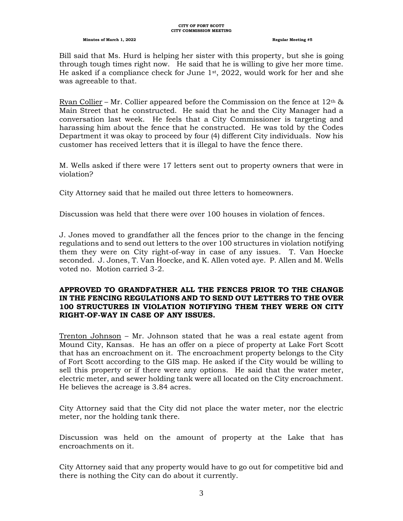Bill said that Ms. Hurd is helping her sister with this property, but she is going through tough times right now. He said that he is willing to give her more time. He asked if a compliance check for June 1st, 2022, would work for her and she was agreeable to that.

Ryan Collier – Mr. Collier appeared before the Commission on the fence at  $12<sup>th</sup>$  & Main Street that he constructed. He said that he and the City Manager had a conversation last week. He feels that a City Commissioner is targeting and harassing him about the fence that he constructed. He was told by the Codes Department it was okay to proceed by four (4) different City individuals. Now his customer has received letters that it is illegal to have the fence there.

M. Wells asked if there were 17 letters sent out to property owners that were in violation?

City Attorney said that he mailed out three letters to homeowners.

Discussion was held that there were over 100 houses in violation of fences.

J. Jones moved to grandfather all the fences prior to the change in the fencing regulations and to send out letters to the over 100 structures in violation notifying them they were on City right-of-way in case of any issues. T. Van Hoecke seconded. J. Jones, T. Van Hoecke, and K. Allen voted aye. P. Allen and M. Wells voted no. Motion carried 3-2.

# **APPROVED TO GRANDFATHER ALL THE FENCES PRIOR TO THE CHANGE IN THE FENCING REGULATIONS AND TO SEND OUT LETTERS TO THE OVER 100 STRUCTURES IN VIOLATION NOTIFYING THEM THEY WERE ON CITY RIGHT-OF-WAY IN CASE OF ANY ISSUES.**

Trenton Johnson – Mr. Johnson stated that he was a real estate agent from Mound City, Kansas. He has an offer on a piece of property at Lake Fort Scott that has an encroachment on it. The encroachment property belongs to the City of Fort Scott according to the GIS map. He asked if the City would be willing to sell this property or if there were any options. He said that the water meter, electric meter, and sewer holding tank were all located on the City encroachment. He believes the acreage is 3.84 acres.

City Attorney said that the City did not place the water meter, nor the electric meter, nor the holding tank there.

Discussion was held on the amount of property at the Lake that has encroachments on it.

City Attorney said that any property would have to go out for competitive bid and there is nothing the City can do about it currently.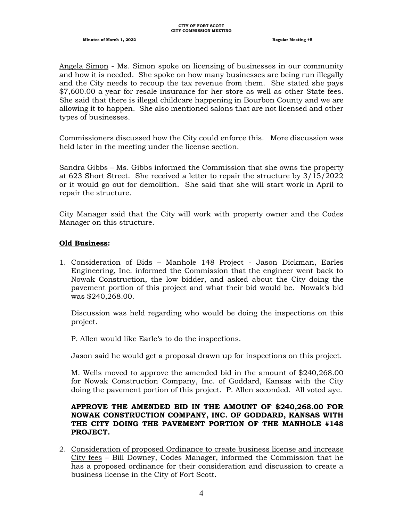Angela Simon - Ms. Simon spoke on licensing of businesses in our community and how it is needed. She spoke on how many businesses are being run illegally and the City needs to recoup the tax revenue from them. She stated she pays \$7,600.00 a year for resale insurance for her store as well as other State fees. She said that there is illegal childcare happening in Bourbon County and we are allowing it to happen. She also mentioned salons that are not licensed and other types of businesses.

Commissioners discussed how the City could enforce this. More discussion was held later in the meeting under the license section.

Sandra Gibbs – Ms. Gibbs informed the Commission that she owns the property at 623 Short Street. She received a letter to repair the structure by 3/15/2022 or it would go out for demolition. She said that she will start work in April to repair the structure.

City Manager said that the City will work with property owner and the Codes Manager on this structure.

#### **Old Business:**

1. Consideration of Bids – Manhole 148 Project - Jason Dickman, Earles Engineering, Inc. informed the Commission that the engineer went back to Nowak Construction, the low bidder, and asked about the City doing the pavement portion of this project and what their bid would be. Nowak's bid was \$240,268.00.

Discussion was held regarding who would be doing the inspections on this project.

P. Allen would like Earle's to do the inspections.

Jason said he would get a proposal drawn up for inspections on this project.

M. Wells moved to approve the amended bid in the amount of \$240,268.00 for Nowak Construction Company, Inc. of Goddard, Kansas with the City doing the pavement portion of this project. P. Allen seconded. All voted aye.

# **APPROVE THE AMENDED BID IN THE AMOUNT OF \$240,268.00 FOR NOWAK CONSTRUCTION COMPANY, INC. OF GODDARD, KANSAS WITH THE CITY DOING THE PAVEMENT PORTION OF THE MANHOLE #148 PROJECT.**

2. Consideration of proposed Ordinance to create business license and increase City fees – Bill Downey, Codes Manager, informed the Commission that he has a proposed ordinance for their consideration and discussion to create a business license in the City of Fort Scott.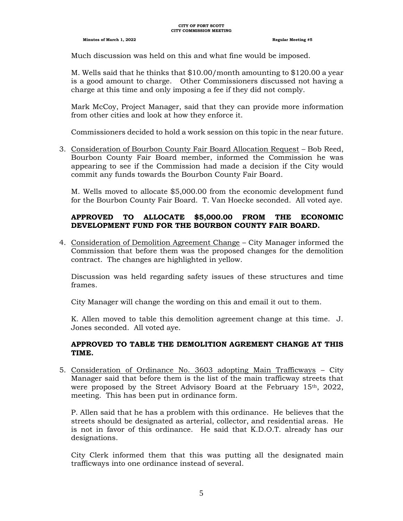Much discussion was held on this and what fine would be imposed.

M. Wells said that he thinks that \$10.00/month amounting to \$120.00 a year is a good amount to charge. Other Commissioners discussed not having a charge at this time and only imposing a fee if they did not comply.

Mark McCoy, Project Manager, said that they can provide more information from other cities and look at how they enforce it.

Commissioners decided to hold a work session on this topic in the near future.

3. Consideration of Bourbon County Fair Board Allocation Request – Bob Reed, Bourbon County Fair Board member, informed the Commission he was appearing to see if the Commission had made a decision if the City would commit any funds towards the Bourbon County Fair Board.

M. Wells moved to allocate \$5,000.00 from the economic development fund for the Bourbon County Fair Board. T. Van Hoecke seconded. All voted aye.

# **APPROVED TO ALLOCATE \$5,000.00 FROM THE ECONOMIC DEVELOPMENT FUND FOR THE BOURBON COUNTY FAIR BOARD.**

4. Consideration of Demolition Agreement Change – City Manager informed the Commission that before them was the proposed changes for the demolition contract. The changes are highlighted in yellow.

Discussion was held regarding safety issues of these structures and time frames.

City Manager will change the wording on this and email it out to them.

K. Allen moved to table this demolition agreement change at this time. J. Jones seconded. All voted aye.

# **APPROVED TO TABLE THE DEMOLITION AGREMENT CHANGE AT THIS TIME.**

5. Consideration of Ordinance No. 3603 adopting Main Trafficways – City Manager said that before them is the list of the main trafficway streets that were proposed by the Street Advisory Board at the February 15<sup>th</sup>, 2022, meeting. This has been put in ordinance form.

P. Allen said that he has a problem with this ordinance. He believes that the streets should be designated as arterial, collector, and residential areas. He is not in favor of this ordinance. He said that K.D.O.T. already has our designations.

City Clerk informed them that this was putting all the designated main trafficways into one ordinance instead of several.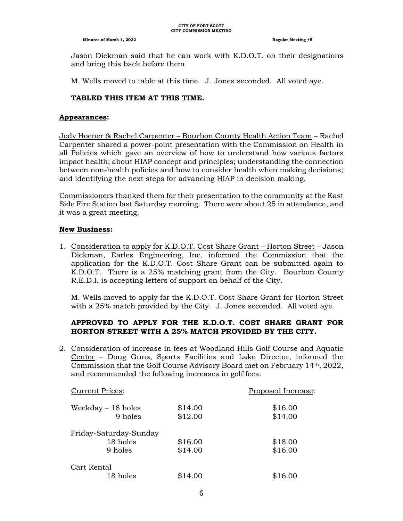Jason Dickman said that he can work with K.D.O.T. on their designations and bring this back before them.

M. Wells moved to table at this time. J. Jones seconded. All voted aye.

# **TABLED THIS ITEM AT THIS TIME.**

#### **Appearances:**

Jody Hoener & Rachel Carpenter – Bourbon County Health Action Team – Rachel Carpenter shared a power-point presentation with the Commission on Health in all Policies which gave an overview of how to understand how various factors impact health; about HIAP concept and principles; understanding the connection between non-health policies and how to consider health when making decisions; and identifying the next steps for advancing HIAP in decision making.

Commissioners thanked them for their presentation to the community at the East Side Fire Station last Saturday morning. There were about 25 in attendance, and it was a great meeting.

# **New Business:**

1. Consideration to apply for K.D.O.T. Cost Share Grant – Horton Street – Jason Dickman, Earles Engineering, Inc. informed the Commission that the application for the K.D.O.T. Cost Share Grant can be submitted again to K.D.O.T. There is a 25% matching grant from the City. Bourbon County R.E.D.I. is accepting letters of support on behalf of the City.

M. Wells moved to apply for the K.D.O.T. Cost Share Grant for Horton Street with a 25% match provided by the City. J. Jones seconded. All voted aye.

# **APPROVED TO APPLY FOR THE K.D.O.T. COST SHARE GRANT FOR HORTON STREET WITH A 25% MATCH PROVIDED BY THE CITY.**

2. Consideration of increase in fees at Woodland Hills Golf Course and Aquatic Center – Doug Guns, Sports Facilities and Lake Director, informed the Commission that the Golf Course Advisory Board met on February 14th, 2022, and recommended the following increases in golf fees:

| <b>Current Prices:</b> |         |  |
|------------------------|---------|--|
| \$14.00                | \$16.00 |  |
| \$12.00                | \$14.00 |  |
| Friday-Saturday-Sunday |         |  |
| \$16.00                | \$18.00 |  |
| \$14.00                | \$16.00 |  |
|                        |         |  |
| \$14.00                | \$16.00 |  |
|                        |         |  |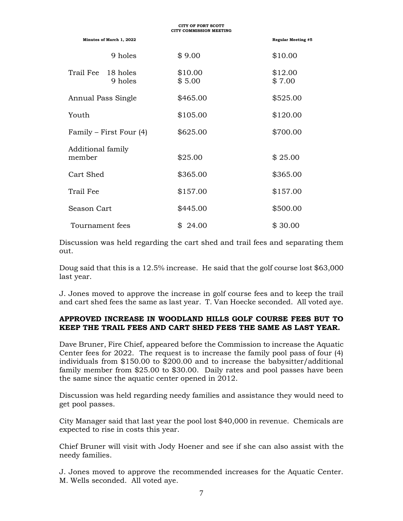| <b>CITY COMMISSION MEETING</b> |                                  |                   |                           |
|--------------------------------|----------------------------------|-------------------|---------------------------|
|                                | Minutes of March 1, 2022         |                   | <b>Regular Meeting #5</b> |
|                                | 9 holes                          | \$9.00            | \$10.00                   |
|                                | Trail Fee<br>18 holes<br>9 holes | \$10.00<br>\$5.00 | \$12.00<br>\$7.00         |
|                                | Annual Pass Single               | \$465.00          | \$525.00                  |
|                                | Youth                            | \$105.00          | \$120.00                  |
|                                | Family – First Four (4)          | \$625.00          | \$700.00                  |
|                                | Additional family<br>member      | \$25.00           | \$25.00                   |
|                                | Cart Shed                        | \$365.00          | \$365.00                  |
|                                | Trail Fee                        | \$157.00          | \$157.00                  |
|                                | Season Cart                      | \$445.00          | \$500.00                  |
|                                | Tournament fees                  | \$24.00           | \$30.00                   |

**CITY OF FORT SCOTT**

Discussion was held regarding the cart shed and trail fees and separating them out.

Doug said that this is a 12.5% increase. He said that the golf course lost \$63,000 last year.

J. Jones moved to approve the increase in golf course fees and to keep the trail and cart shed fees the same as last year. T. Van Hoecke seconded. All voted aye.

#### **APPROVED INCREASE IN WOODLAND HILLS GOLF COURSE FEES BUT TO KEEP THE TRAIL FEES AND CART SHED FEES THE SAME AS LAST YEAR.**

Dave Bruner, Fire Chief, appeared before the Commission to increase the Aquatic Center fees for 2022. The request is to increase the family pool pass of four (4) individuals from \$150.00 to \$200.00 and to increase the babysitter/additional family member from \$25.00 to \$30.00. Daily rates and pool passes have been the same since the aquatic center opened in 2012.

Discussion was held regarding needy families and assistance they would need to get pool passes.

City Manager said that last year the pool lost \$40,000 in revenue. Chemicals are expected to rise in costs this year.

Chief Bruner will visit with Jody Hoener and see if she can also assist with the needy families.

J. Jones moved to approve the recommended increases for the Aquatic Center. M. Wells seconded. All voted aye.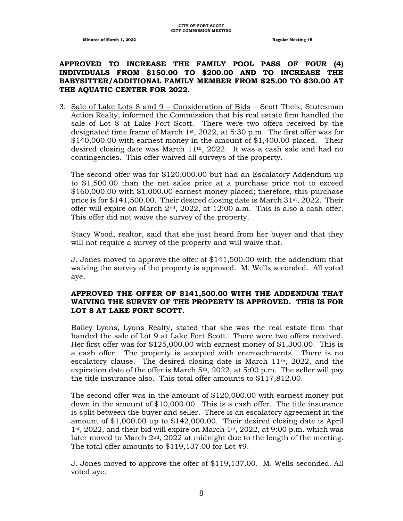# **APPROVED TO INCREASE THE FAMILY POOL PASS OF FOUR (4) INDIVIDUALS FROM \$150.00 TO \$200.00 AND TO INCREASE THE BABYSITTER/ADDITIONAL FAMILY MEMBER FROM \$25.00 TO \$30.00 AT THE AQUATIC CENTER FOR 2022.**

3. Sale of Lake Lots 8 and 9 – Consideration of Bids – Scott Theis, Stutesman Action Realty, informed the Commission that his real estate firm handled the sale of Lot 8 at Lake Fort Scott. There were two offers received by the designated time frame of March  $1st$ , 2022, at 5:30 p.m. The first offer was for \$140,000.00 with earnest money in the amount of \$1,400.00 placed. Their desired closing date was March  $11<sup>th</sup>$ , 2022. It was a cash sale and had no contingencies. This offer waived all surveys of the property.

The second offer was for \$120,000.00 but had an Escalatory Addendum up to \$1,500.00 than the net sales price at a purchase price not to exceed \$160,000.00 with \$1,000.00 earnest money placed; therefore, this purchase price is for  $$141,500.00$ . Their desired closing date is March  $31st$ , 2022. Their offer will expire on March  $2<sup>nd</sup>$ , 2022, at 12:00 a.m. This is also a cash offer. This offer did not waive the survey of the property.

Stacy Wood, realtor, said that she just heard from her buyer and that they will not require a survey of the property and will waive that.

J. Jones moved to approve the offer of \$141,500.00 with the addendum that waiving the survey of the property is approved. M. Wells seconded. All voted aye.

#### **APPROVED THE OFFER OF \$141,500.00 WITH THE ADDENDUM THAT WAIVING THE SURVEY OF THE PROPERTY IS APPROVED. THIS IS FOR LOT 8 AT LAKE FORT SCOTT.**

Bailey Lyons, Lyons Realty, stated that she was the real estate firm that handed the sale of Lot 9 at Lake Fort Scott. There were two offers received. Her first offer was for \$125,000.00 with earnest money of \$1,300.00. This is a cash offer. The property is accepted with encroachments. There is no escalatory clause. The desired closing date is March 11th, 2022, and the expiration date of the offer is March  $5<sup>th</sup>$ , 2022, at 5:00 p.m. The seller will pay the title insurance also. This total offer amounts to \$117,812.00.

The second offer was in the amount of \$120,000.00 with earnest money put down in the amount of \$10,000.00. This is a cash offer. The title insurance is split between the buyer and seller. There is an escalatory agreement in the amount of \$1,000.00 up to \$142,000.00. Their desired closing date is April 1st, 2022, and their bid will expire on March 1st, 2022, at 9:00 p.m. which was later moved to March 2nd, 2022 at midnight due to the length of the meeting. The total offer amounts to \$119,137.00 for Lot #9.

J. Jones moved to approve the offer of \$119,137.00. M. Wells seconded. All voted aye.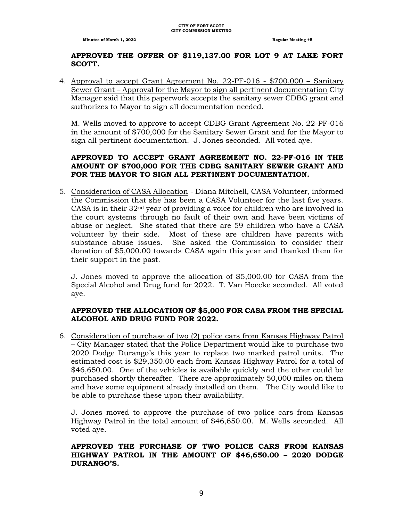# **APPROVED THE OFFER OF \$119,137.00 FOR LOT 9 AT LAKE FORT SCOTT.**

4. Approval to accept Grant Agreement No. 22-PF-016 - \$700,000 – Sanitary Sewer Grant – Approval for the Mayor to sign all pertinent documentation City Manager said that this paperwork accepts the sanitary sewer CDBG grant and authorizes to Mayor to sign all documentation needed.

M. Wells moved to approve to accept CDBG Grant Agreement No. 22-PF-016 in the amount of \$700,000 for the Sanitary Sewer Grant and for the Mayor to sign all pertinent documentation. J. Jones seconded. All voted aye.

# **APPROVED TO ACCEPT GRANT AGREEMENT NO. 22-PF-016 IN THE AMOUNT OF \$700,000 FOR THE CDBG SANITARY SEWER GRANT AND FOR THE MAYOR TO SIGN ALL PERTINENT DOCUMENTATION.**

5. Consideration of CASA Allocation - Diana Mitchell, CASA Volunteer, informed the Commission that she has been a CASA Volunteer for the last five years. CASA is in their  $32<sup>nd</sup>$  year of providing a voice for children who are involved in the court systems through no fault of their own and have been victims of abuse or neglect. She stated that there are 59 children who have a CASA volunteer by their side. Most of these are children have parents with substance abuse issues. She asked the Commission to consider their donation of \$5,000.00 towards CASA again this year and thanked them for their support in the past.

J. Jones moved to approve the allocation of \$5,000.00 for CASA from the Special Alcohol and Drug fund for 2022. T. Van Hoecke seconded. All voted aye.

# **APPROVED THE ALLOCATION OF \$5,000 FOR CASA FROM THE SPECIAL ALCOHOL AND DRUG FUND FOR 2022.**

6. Consideration of purchase of two (2) police cars from Kansas Highway Patrol – City Manager stated that the Police Department would like to purchase two 2020 Dodge Durango's this year to replace two marked patrol units. The estimated cost is \$29,350.00 each from Kansas Highway Patrol for a total of \$46,650.00. One of the vehicles is available quickly and the other could be purchased shortly thereafter. There are approximately 50,000 miles on them and have some equipment already installed on them. The City would like to be able to purchase these upon their availability.

J. Jones moved to approve the purchase of two police cars from Kansas Highway Patrol in the total amount of \$46,650.00. M. Wells seconded. All voted aye.

#### **APPROVED THE PURCHASE OF TWO POLICE CARS FROM KANSAS HIGHWAY PATROL IN THE AMOUNT OF \$46,650.00 – 2020 DODGE DURANGO'S.**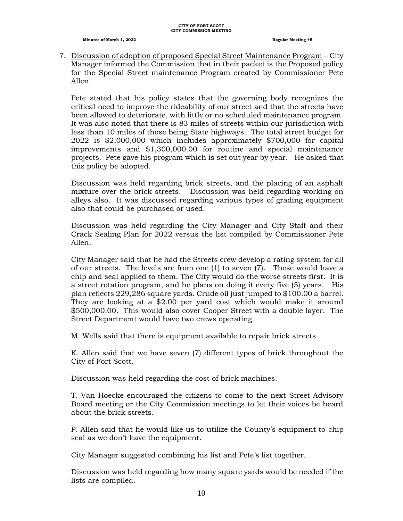7. Discussion of adoption of proposed Special Street Maintenance Program – City Manager informed the Commission that in their packet is the Proposed policy for the Special Street maintenance Program created by Commissioner Pete Allen.

Pete stated that his policy states that the governing body recognizes the critical need to improve the rideability of our street and that the streets have been allowed to deteriorate, with little or no scheduled maintenance program. It was also noted that there is 83 miles of streets within our jurisdiction with less than 10 miles of those being State highways. The total street budget for 2022 is \$2,000,000 which includes approximately \$700,000 for capital improvements and \$1,300,000.00 for routine and special maintenance projects. Pete gave his program which is set out year by year. He asked that this policy be adopted.

Discussion was held regarding brick streets, and the placing of an asphalt mixture over the brick streets. Discussion was held regarding working on alleys also. It was discussed regarding various types of grading equipment also that could be purchased or used.

Discussion was held regarding the City Manager and City Staff and their Crack Sealing Plan for 2022 versus the list compiled by Commissioner Pete Allen.

City Manager said that he had the Streets crew develop a rating system for all of our streets. The levels are from one (1) to seven (7). These would have a chip and seal applied to them. The City would do the worse streets first. It is a street rotation program, and he plans on doing it every five (5) years. His plan reflects 229,286 square yards. Crude oil just jumped to \$100.00 a barrel. They are looking at a \$2.00 per yard cost which would make it around \$500,000.00. This would also cover Cooper Street with a double layer. The Street Department would have two crews operating.

M. Wells said that there is equipment available to repair brick streets.

K. Allen said that we have seven (7) different types of brick throughout the City of Fort Scott.

Discussion was held regarding the cost of brick machines.

T. Van Hoecke encouraged the citizens to come to the next Street Advisory Board meeting or the City Commission meetings to let their voices be heard about the brick streets.

P. Allen said that he would like us to utilize the County's equipment to chip seal as we don't have the equipment.

City Manager suggested combining his list and Pete's list together.

Discussion was held regarding how many square yards would be needed if the lists are compiled.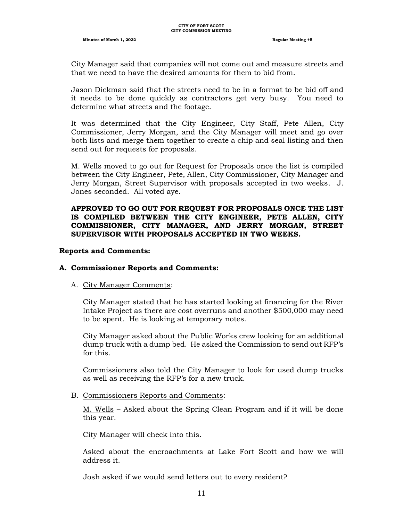City Manager said that companies will not come out and measure streets and that we need to have the desired amounts for them to bid from.

Jason Dickman said that the streets need to be in a format to be bid off and it needs to be done quickly as contractors get very busy. You need to determine what streets and the footage.

It was determined that the City Engineer, City Staff, Pete Allen, City Commissioner, Jerry Morgan, and the City Manager will meet and go over both lists and merge them together to create a chip and seal listing and then send out for requests for proposals.

M. Wells moved to go out for Request for Proposals once the list is compiled between the City Engineer, Pete, Allen, City Commissioner, City Manager and Jerry Morgan, Street Supervisor with proposals accepted in two weeks. J. Jones seconded. All voted aye.

#### **APPROVED TO GO OUT FOR REQUEST FOR PROPOSALS ONCE THE LIST IS COMPILED BETWEEN THE CITY ENGINEER, PETE ALLEN, CITY COMMISSIONER, CITY MANAGER, AND JERRY MORGAN, STREET SUPERVISOR WITH PROPOSALS ACCEPTED IN TWO WEEKS.**

#### **Reports and Comments:**

#### **A. Commissioner Reports and Comments:**

#### A. City Manager Comments:

City Manager stated that he has started looking at financing for the River Intake Project as there are cost overruns and another \$500,000 may need to be spent. He is looking at temporary notes.

City Manager asked about the Public Works crew looking for an additional dump truck with a dump bed. He asked the Commission to send out RFP's for this.

Commissioners also told the City Manager to look for used dump trucks as well as receiving the RFP's for a new truck.

#### B. Commissioners Reports and Comments:

M. Wells – Asked about the Spring Clean Program and if it will be done this year.

City Manager will check into this.

Asked about the encroachments at Lake Fort Scott and how we will address it.

Josh asked if we would send letters out to every resident?